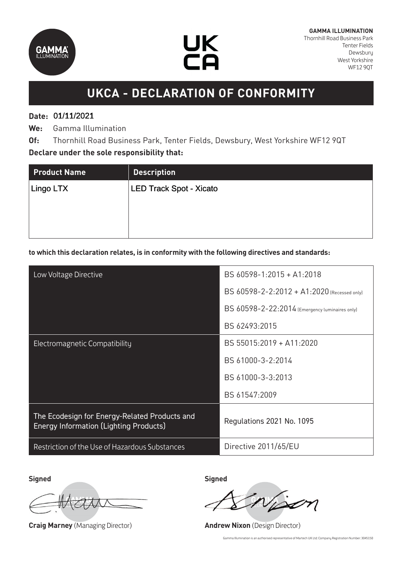



# **UKCA - DECLARATION OF CONFORMITY**

## **Date:**  01/11/2021 01/11/2021

**We:** Gamma Illumination

**Of:** Thornhill Road Business Park, Tenter Fields, Dewsbury, West Yorkshire WF12 9QT **Declare under the sole responsibility that:**

| <b>Product Name</b> | <b>Description</b>             |
|---------------------|--------------------------------|
| Lingo LTX           | <b>LED Track Spot - Xicato</b> |
|                     |                                |
|                     |                                |
|                     |                                |

### **to which this declaration relates, is in conformity with the following directives and standards:**

| Low Voltage Directive                                                                          | BS 60598-1:2015 + A1:2018                      |
|------------------------------------------------------------------------------------------------|------------------------------------------------|
|                                                                                                | BS 60598-2-2:2012 + A1:2020 (Recessed only)    |
|                                                                                                | BS 60598-2-22:2014 (Emergency luminaires only) |
|                                                                                                | BS 62493:2015                                  |
| Electromagnetic Compatibility                                                                  | BS 55015:2019 + A11:2020                       |
|                                                                                                | BS 61000-3-2:2014                              |
|                                                                                                | BS 61000-3-3:2013                              |
|                                                                                                | BS 61547:2009                                  |
| The Ecodesign for Energy-Related Products and<br><b>Energy Information (Lighting Products)</b> | Regulations 2021 No. 1095                      |
| Restriction of the Use of Hazardous Substances                                                 | Directive 2011/65/EU                           |

**Signed Signed**

**Craig Marney** (Managing Director) **Andrew Nixon** (Design Director)

Gamma Illumination is an authorised representative of Martech UK Ltd: Company Registration Number: 3045150